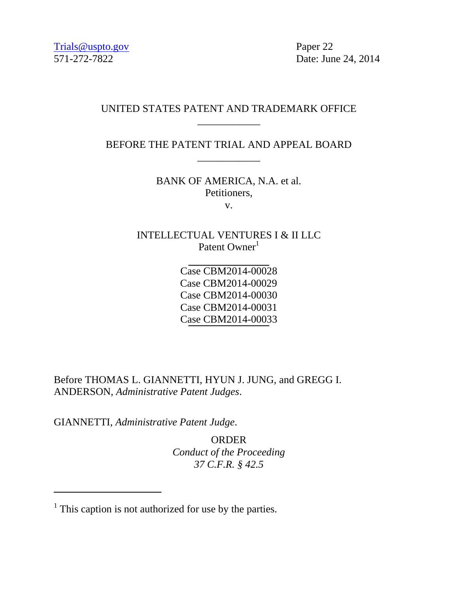571-272-7822 Date: June 24, 2014

## UNITED STATES PATENT AND TRADEMARK OFFICE \_\_\_\_\_\_\_\_\_\_\_\_

BEFORE THE PATENT TRIAL AND APPEAL BOARD \_\_\_\_\_\_\_\_\_\_\_\_

> BANK OF AMERICA, N.A. et al. Petitioners, v.

INTELLECTUAL VENTURES I & II LLC Patent Owner<sup>1</sup>

> Case CBM2014-00028 Case CBM2014-00029 Case CBM2014-00030 Case CBM2014-00031 Case CBM2014-00033

Before THOMAS L. GIANNETTI, HYUN J. JUNG, and GREGG I. ANDERSON, *Administrative Patent Judges*.

GIANNETTI, *Administrative Patent Judge*.

 $\overline{a}$ 

ORDER *Conduct of the Proceeding 37 C.F.R. § 42.5*

 $<sup>1</sup>$  This caption is not authorized for use by the parties.</sup>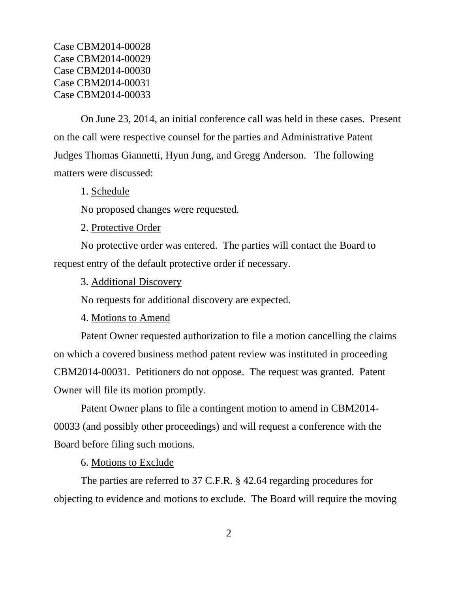Case CBM2014-00028 Case CBM2014-00029 Case CBM2014-00030 Case CBM2014-00031 Case CBM2014-00033

On June 23, 2014, an initial conference call was held in these cases. Present on the call were respective counsel for the parties and Administrative Patent Judges Thomas Giannetti, Hyun Jung, and Gregg Anderson. The following matters were discussed:

1. Schedule

No proposed changes were requested.

2. Protective Order

No protective order was entered. The parties will contact the Board to request entry of the default protective order if necessary.

3. Additional Discovery

No requests for additional discovery are expected.

4. Motions to Amend

Patent Owner requested authorization to file a motion cancelling the claims on which a covered business method patent review was instituted in proceeding CBM2014-00031. Petitioners do not oppose. The request was granted. Patent Owner will file its motion promptly.

Patent Owner plans to file a contingent motion to amend in CBM2014- 00033 (and possibly other proceedings) and will request a conference with the Board before filing such motions.

6. Motions to Exclude

The parties are referred to 37 C.F.R. § 42.64 regarding procedures for objecting to evidence and motions to exclude. The Board will require the moving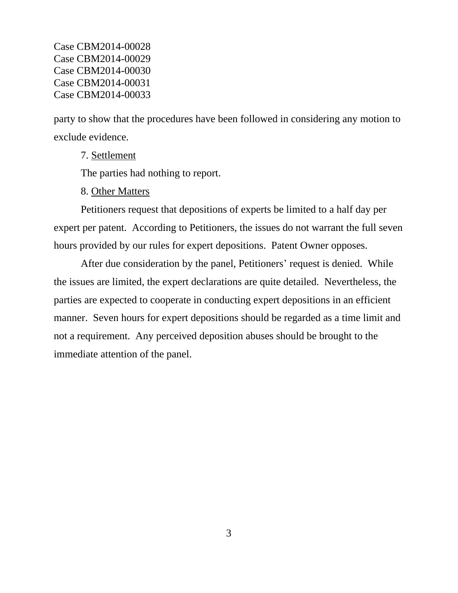Case CBM2014-00028 Case CBM2014-00029 Case CBM2014-00030 Case CBM2014-00031 Case CBM2014-00033

party to show that the procedures have been followed in considering any motion to exclude evidence.

7. Settlement

The parties had nothing to report.

8. Other Matters

Petitioners request that depositions of experts be limited to a half day per expert per patent. According to Petitioners, the issues do not warrant the full seven hours provided by our rules for expert depositions. Patent Owner opposes.

After due consideration by the panel, Petitioners' request is denied. While the issues are limited, the expert declarations are quite detailed. Nevertheless, the parties are expected to cooperate in conducting expert depositions in an efficient manner. Seven hours for expert depositions should be regarded as a time limit and not a requirement. Any perceived deposition abuses should be brought to the immediate attention of the panel.